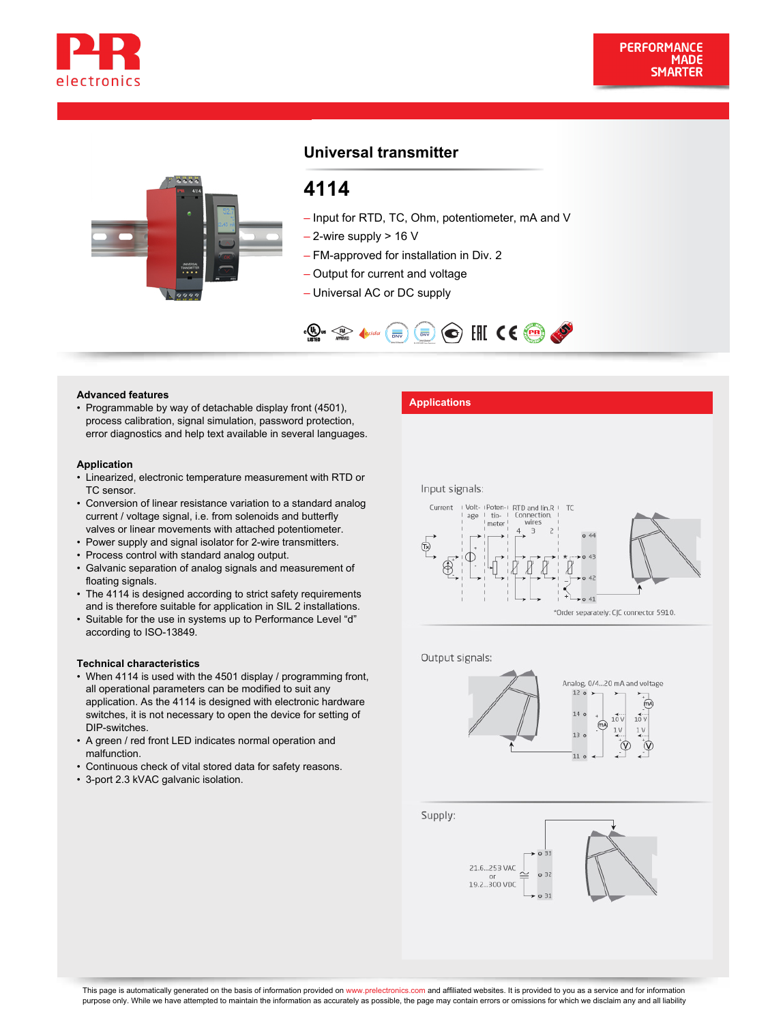



# **Universal transmitter**

# **4114**

- Input for RTD, TC, Ohm, potentiometer, mA and V
- $-$  2-wire supply  $> 16$  V
- FM-approved for installation in Div. 2
- Output for current and voltage
- Universal AC or DC supply



Advanced features<br>• Programmable by way of detachable display front (4501), **Applications** process calibration, signal simulation, password protection, error diagnostics and help text available in several languages.

#### **Application**

- Linearized, electronic temperature measurement with RTD or TC sensor. •
- Conversion of linear resistance variation to a standard analog current / voltage signal, i.e. from solenoids and butterfly valves or linear movements with attached potentiometer.
- Power supply and signal isolator for 2-wire transmitters.
- Process control with standard analog output.
- Galvanic separation of analog signals and measurement of floating signals.
- The 4114 is designed according to strict safety requirements and is therefore suitable for application in SIL 2 installations.
- Suitable for the use in systems up to Performance Level "d" according to ISO-13849.

#### **Technical characteristics**

- When 4114 is used with the 4501 display / programming front, all operational parameters can be modified to suit any application. As the 4114 is designed with electronic hardware switches, it is not necessary to open the device for setting of DIP-switches.
- A green / red front LED indicates normal operation and malfunction.
- Continuous check of vital stored data for safety reasons.
- 3-port 2.3 kVAC galvanic isolation.

Input signals:



Output signals:



Supply: